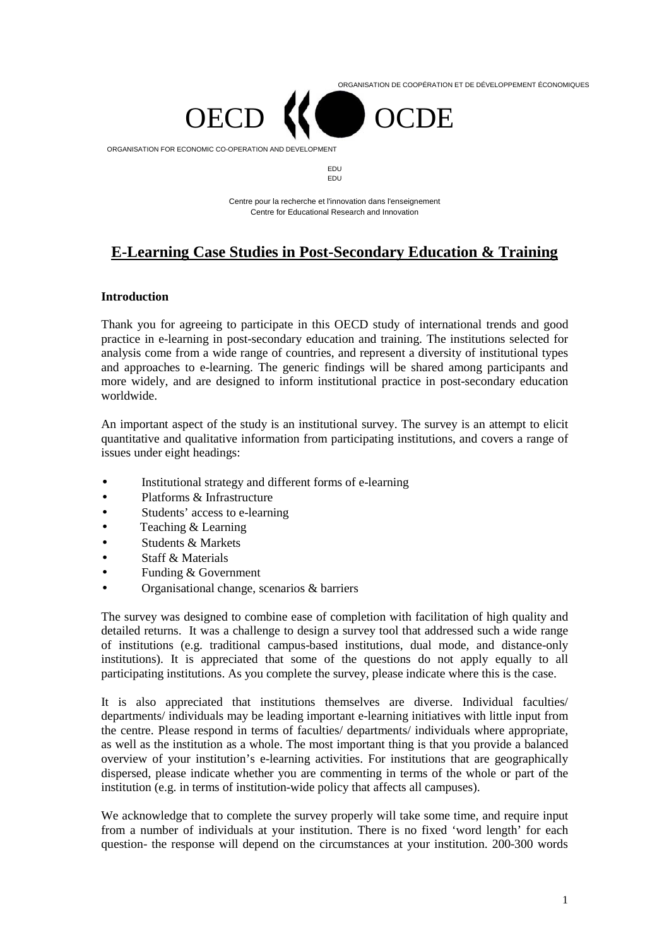

ORGANISATION FOR ECONOMIC CO-OPERATION AND DEVELOPMENT

EDU EDU

Centre pour la recherche et l'innovation dans l'enseignement Centre for Educational Research and Innovation

# **E-Learning Case Studies in Post-Secondary Education & Training**

#### **Introduction**

Thank you for agreeing to participate in this OECD study of international trends and good practice in e-learning in post-secondary education and training. The institutions selected for analysis come from a wide range of countries, and represent a diversity of institutional types and approaches to e-learning. The generic findings will be shared among participants and more widely, and are designed to inform institutional practice in post-secondary education worldwide.

An important aspect of the study is an institutional survey. The survey is an attempt to elicit quantitative and qualitative information from participating institutions, and covers a range of issues under eight headings:

- Institutional strategy and different forms of e-learning
- Platforms & Infrastructure
- Students' access to e-learning
- Teaching & Learning
- Students & Markets
- Staff & Materials
- Funding & Government
- Organisational change, scenarios & barriers

The survey was designed to combine ease of completion with facilitation of high quality and detailed returns. It was a challenge to design a survey tool that addressed such a wide range of institutions (e.g. traditional campus-based institutions, dual mode, and distance-only institutions). It is appreciated that some of the questions do not apply equally to all participating institutions. As you complete the survey, please indicate where this is the case.

It is also appreciated that institutions themselves are diverse. Individual faculties/ departments/ individuals may be leading important e-learning initiatives with little input from the centre. Please respond in terms of faculties/ departments/ individuals where appropriate, as well as the institution as a whole. The most important thing is that you provide a balanced overview of your institution's e-learning activities. For institutions that are geographically dispersed, please indicate whether you are commenting in terms of the whole or part of the institution (e.g. in terms of institution-wide policy that affects all campuses).

We acknowledge that to complete the survey properly will take some time, and require input from a number of individuals at your institution. There is no fixed 'word length' for each question- the response will depend on the circumstances at your institution. 200-300 words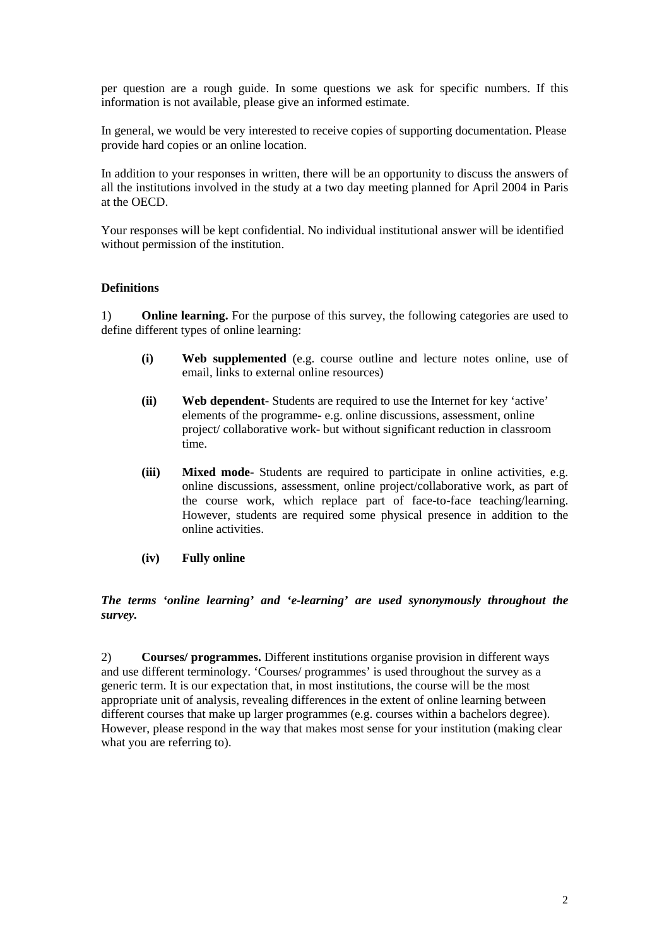per question are a rough guide. In some questions we ask for specific numbers. If this information is not available, please give an informed estimate.

In general, we would be very interested to receive copies of supporting documentation. Please provide hard copies or an online location.

In addition to your responses in written, there will be an opportunity to discuss the answers of all the institutions involved in the study at a two day meeting planned for April 2004 in Paris at the OECD.

Your responses will be kept confidential. No individual institutional answer will be identified without permission of the institution.

#### **Definitions**

1) **Online learning.** For the purpose of this survey, the following categories are used to define different types of online learning:

- **(i) Web supplemented** (e.g. course outline and lecture notes online, use of email, links to external online resources)
- **(ii) Web dependent-** Students are required to use the Internet for key 'active' elements of the programme- e.g. online discussions, assessment, online project/ collaborative work- but without significant reduction in classroom time.
- **(iii) Mixed mode-** Students are required to participate in online activities, e.g. online discussions, assessment, online project/collaborative work, as part of the course work, which replace part of face-to-face teaching/learning. However, students are required some physical presence in addition to the online activities.
- **(iv) Fully online**

*The terms 'online learning' and 'e-learning' are used synonymously throughout the survey.* 

2) **Courses/ programmes.** Different institutions organise provision in different ways and use different terminology. 'Courses/ programmes' is used throughout the survey as a generic term. It is our expectation that, in most institutions, the course will be the most appropriate unit of analysis, revealing differences in the extent of online learning between different courses that make up larger programmes (e.g. courses within a bachelors degree). However, please respond in the way that makes most sense for your institution (making clear what you are referring to).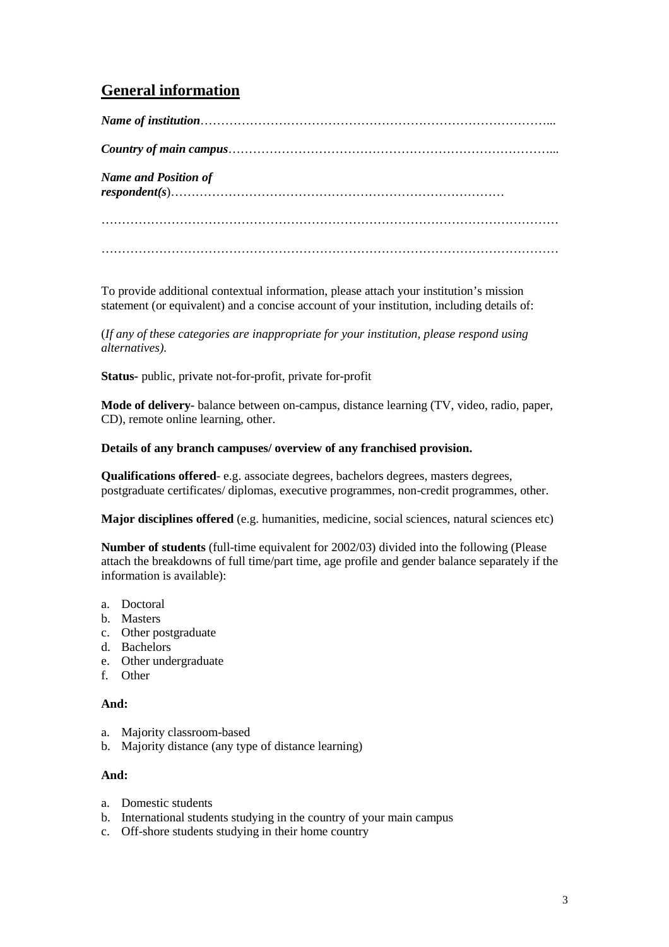# **General information**

*Name of institution*…………………………………………………………………………...

*Country of main campus*……………………………………………………………………...

*Name and Position of respondent(s*)………………………………………………………………………

………………………………………………………………………………………………… …………………………………………………………………………………………………

To provide additional contextual information, please attach your institution's mission statement (or equivalent) and a concise account of your institution, including details of:

(*If any of these categories are inappropriate for your institution, please respond using alternatives).* 

**Status-** public, private not-for-profit, private for-profit

**Mode of delivery-** balance between on-campus, distance learning (TV, video, radio, paper, CD), remote online learning, other.

### **Details of any branch campuses/ overview of any franchised provision.**

**Qualifications offered**- e.g. associate degrees, bachelors degrees, masters degrees, postgraduate certificates/ diplomas, executive programmes, non-credit programmes, other.

**Major disciplines offered** (e.g. humanities, medicine, social sciences, natural sciences etc)

**Number of students** (full-time equivalent for 2002/03) divided into the following (Please attach the breakdowns of full time/part time, age profile and gender balance separately if the information is available):

- a. Doctoral
- b. Masters
- c. Other postgraduate
- d. Bachelors
- e. Other undergraduate
- f. Other

#### **And:**

- a. Majority classroom-based
- b. Majority distance (any type of distance learning)

#### **And:**

- a. Domestic students
- b. International students studying in the country of your main campus
- c. Off-shore students studying in their home country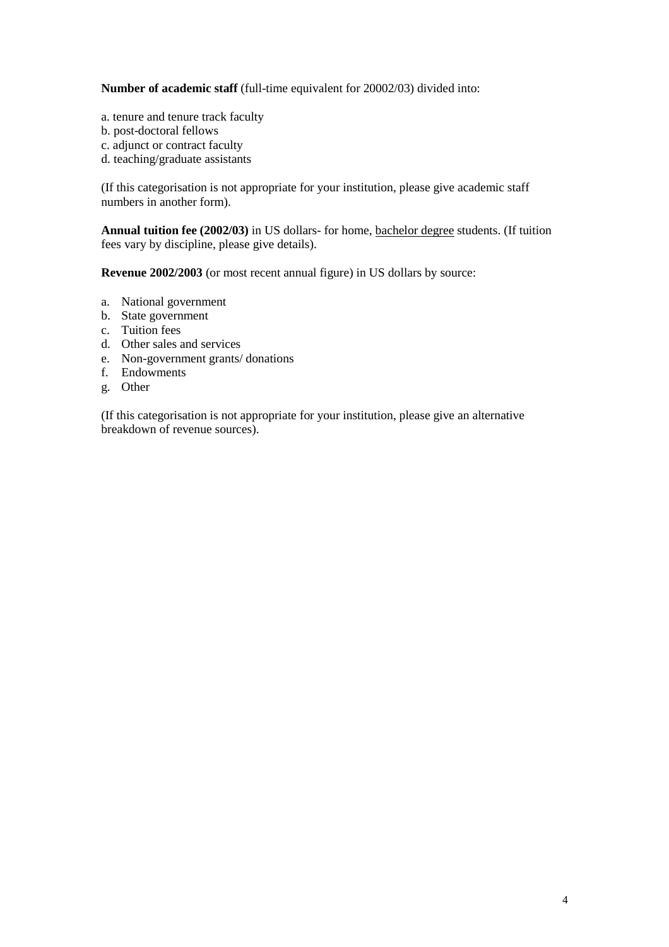**Number of academic staff** (full-time equivalent for 20002/03) divided into:

- a. tenure and tenure track faculty
- b. post-doctoral fellows
- c. adjunct or contract faculty
- d. teaching/graduate assistants

(If this categorisation is not appropriate for your institution, please give academic staff numbers in another form).

**Annual tuition fee (2002/03)** in US dollars- for home, bachelor degree students. (If tuition fees vary by discipline, please give details).

**Revenue 2002/2003** (or most recent annual figure) in US dollars by source:

- a. National government
- b. State government
- c. Tuition fees
- d. Other sales and services
- e. Non-government grants/ donations
- f. Endowments
- g. Other

(If this categorisation is not appropriate for your institution, please give an alternative breakdown of revenue sources).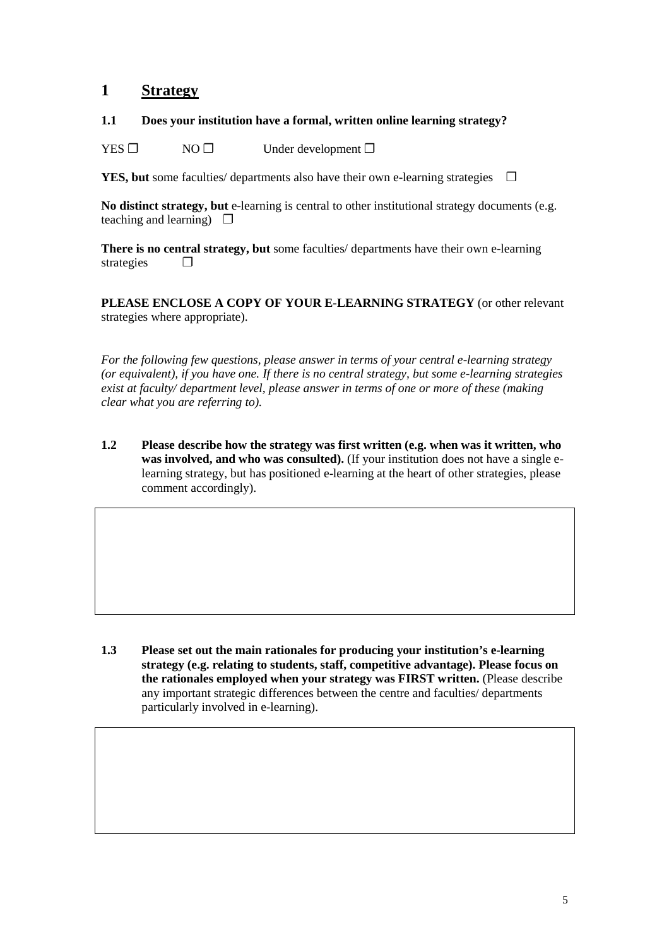### **1 Strategy**

#### **1.1 Does your institution have a formal, written online learning strategy?**

 $YES \Box$  NO  $\Box$  Under development  $\Box$ 

**YES, but** some faculties/ departments also have their own e-learning strategies  $\Box$ 

**No distinct strategy, but** e-learning is central to other institutional strategy documents (e.g. teaching and learning)  $\Box$ 

**There is no central strategy, but** some faculties/ departments have their own e-learning strategies  $\Box$ 

**PLEASE ENCLOSE A COPY OF YOUR E-LEARNING STRATEGY** (or other relevant strategies where appropriate).

*For the following few questions, please answer in terms of your central e-learning strategy (or equivalent), if you have one. If there is no central strategy, but some e-learning strategies exist at faculty/ department level, please answer in terms of one or more of these (making clear what you are referring to).* 

**1.2 Please describe how the strategy was first written (e.g. when was it written, who was involved, and who was consulted).** (If your institution does not have a single elearning strategy, but has positioned e-learning at the heart of other strategies, please comment accordingly).

**1.3 Please set out the main rationales for producing your institution's e-learning strategy (e.g. relating to students, staff, competitive advantage). Please focus on the rationales employed when your strategy was FIRST written.** (Please describe any important strategic differences between the centre and faculties/ departments particularly involved in e-learning).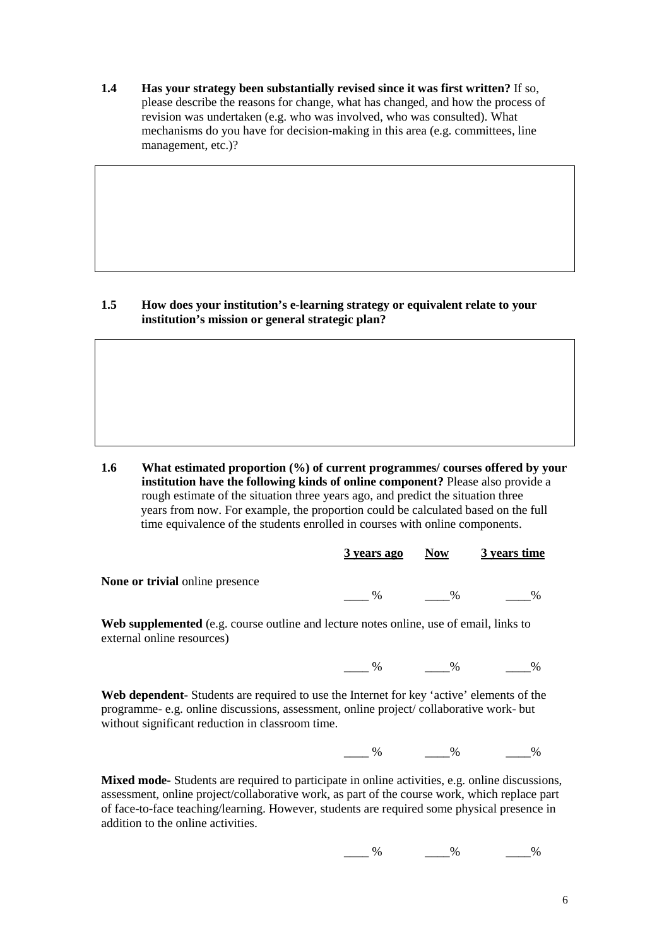**1.4 Has your strategy been substantially revised since it was first written?** If so, please describe the reasons for change, what has changed, and how the process of revision was undertaken (e.g. who was involved, who was consulted). What mechanisms do you have for decision-making in this area (e.g. committees, line management, etc.)?

#### **1.5 How does your institution's e-learning strategy or equivalent relate to your institution's mission or general strategic plan?**

**1.6 What estimated proportion (%) of current programmes/ courses offered by your institution have the following kinds of online component?** Please also provide a rough estimate of the situation three years ago, and predict the situation three years from now. For example, the proportion could be calculated based on the full time equivalence of the students enrolled in courses with online components.

|                                 | 3 years ago | <b>Now</b> | 3 years time |
|---------------------------------|-------------|------------|--------------|
| None or trivial online presence |             |            |              |
|                                 | 0/          | $\%$       | 0/           |

**Web supplemented** (e.g. course outline and lecture notes online, use of email, links to external online resources)

 $\frac{9}{6}$   $\frac{9}{6}$   $\frac{9}{6}$   $\frac{9}{6}$ 

**Web dependent-** Students are required to use the Internet for key 'active' elements of the programme- e.g. online discussions, assessment, online project/ collaborative work- but without significant reduction in classroom time.

 $\%$   $\%$   $\%$   $\%$ 

**Mixed mode-** Students are required to participate in online activities, e.g. online discussions, assessment, online project/collaborative work, as part of the course work, which replace part of face-to-face teaching/learning. However, students are required some physical presence in addition to the online activities.

 $\%$   $\%$   $\%$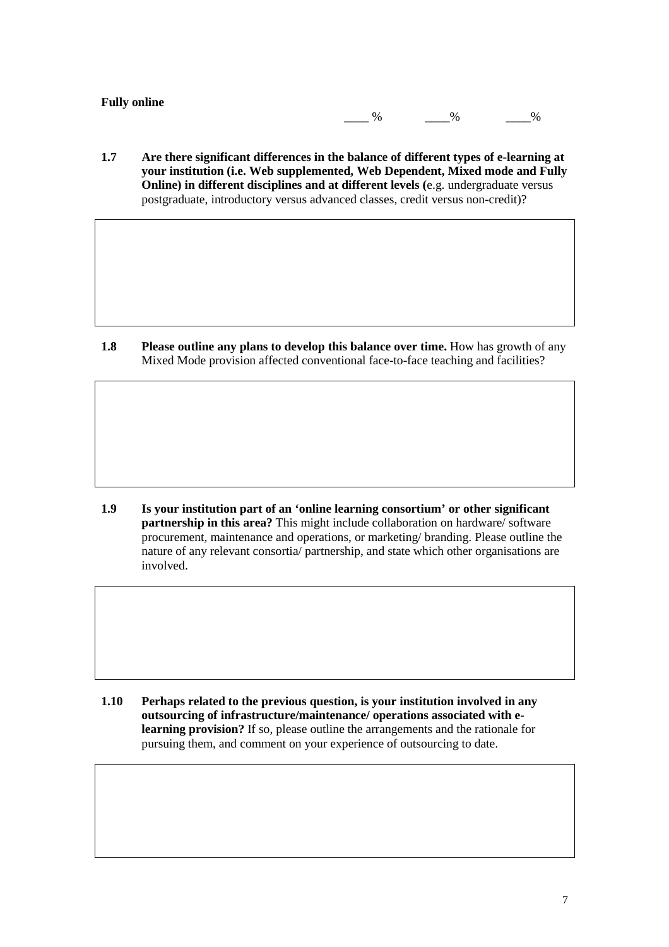#### **Fully online**

 $\frac{9}{6}$  %  $\frac{9}{6}$  %  $\frac{9}{6}$ 

**1.7 Are there significant differences in the balance of different types of e-learning at your institution (i.e. Web supplemented, Web Dependent, Mixed mode and Fully Online) in different disciplines and at different levels (e.g. undergraduate versus** postgraduate, introductory versus advanced classes, credit versus non-credit)?

**1.8 Please outline any plans to develop this balance over time.** How has growth of any Mixed Mode provision affected conventional face-to-face teaching and facilities?

**1.9 Is your institution part of an 'online learning consortium' or other significant partnership in this area?** This might include collaboration on hardware/ software procurement, maintenance and operations, or marketing/ branding. Please outline the nature of any relevant consortia/ partnership, and state which other organisations are involved.

**1.10 Perhaps related to the previous question, is your institution involved in any outsourcing of infrastructure/maintenance/ operations associated with elearning provision?** If so, please outline the arrangements and the rationale for pursuing them, and comment on your experience of outsourcing to date.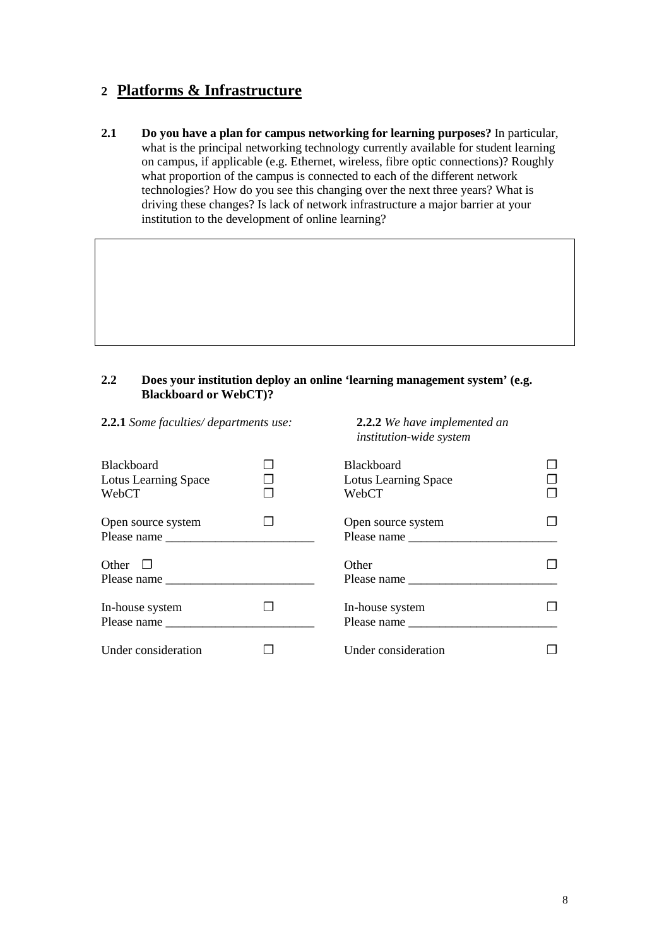## **2 Platforms & Infrastructure**

**2.1 Do you have a plan for campus networking for learning purposes?** In particular, what is the principal networking technology currently available for student learning on campus, if applicable (e.g. Ethernet, wireless, fibre optic connections)? Roughly what proportion of the campus is connected to each of the different network technologies? How do you see this changing over the next three years? What is driving these changes? Is lack of network infrastructure a major barrier at your institution to the development of online learning?

#### **2.2 Does your institution deploy an online 'learning management system' (e.g. Blackboard or WebCT)?**

**2.2.1** *Some faculties/ departments use:* **2.2.2** *We have implemented an* 

| <b>Blackboard</b><br>Lotus Learning Space<br>WebCT | <b>Blackboard</b><br>Lotus Learning Space<br>WebCT |  |
|----------------------------------------------------|----------------------------------------------------|--|
| Open source system<br>Please name                  | Open source system<br>Please name                  |  |
| Other $\Box$<br>Please name                        | Other<br>Please name                               |  |
| In-house system<br>Please name                     | In-house system<br>Please name                     |  |
| Under consideration                                | Under consideration                                |  |

*institution-wide system*

| Blackboard          |                                                               |
|---------------------|---------------------------------------------------------------|
|                     |                                                               |
| WebCT               |                                                               |
|                     |                                                               |
| Please name         |                                                               |
| Other               |                                                               |
| Please name         |                                                               |
|                     |                                                               |
| Please name         |                                                               |
| Under consideration |                                                               |
|                     | Lotus Learning Space<br>Open source system<br>In-house system |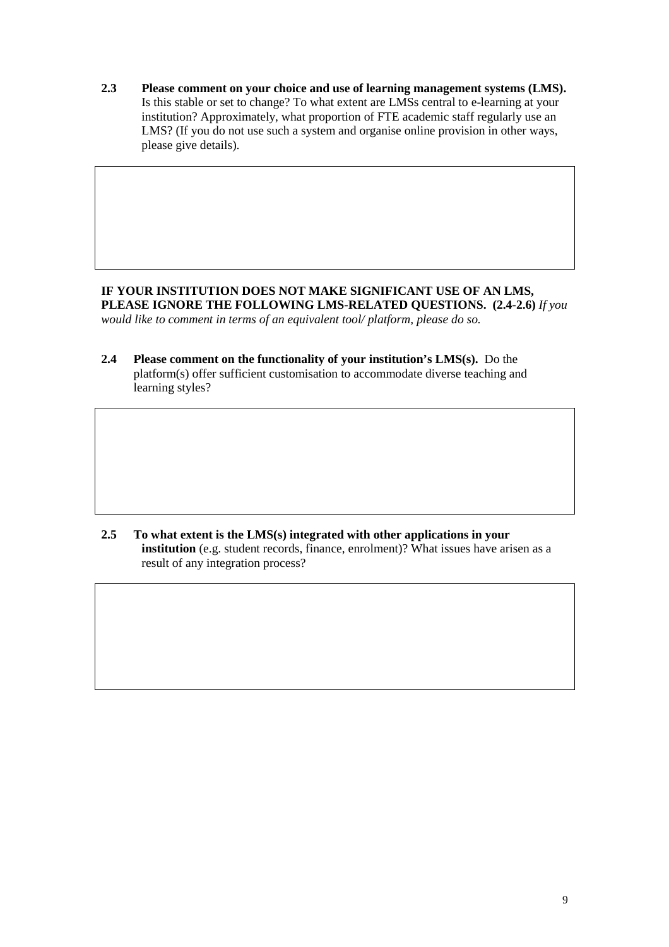**2.3 Please comment on your choice and use of learning management systems (LMS).**  Is this stable or set to change? To what extent are LMSs central to e-learning at your institution? Approximately, what proportion of FTE academic staff regularly use an LMS? (If you do not use such a system and organise online provision in other ways, please give details).

#### **IF YOUR INSTITUTION DOES NOT MAKE SIGNIFICANT USE OF AN LMS, PLEASE IGNORE THE FOLLOWING LMS-RELATED QUESTIONS. (2.4-2.6)** *If you would like to comment in terms of an equivalent tool/ platform, please do so.*

**2.4 Please comment on the functionality of your institution's LMS(s).** Do the platform(s) offer sufficient customisation to accommodate diverse teaching and learning styles?

**2.5 To what extent is the LMS(s) integrated with other applications in your institution** (e.g. student records, finance, enrolment)? What issues have arisen as a result of any integration process?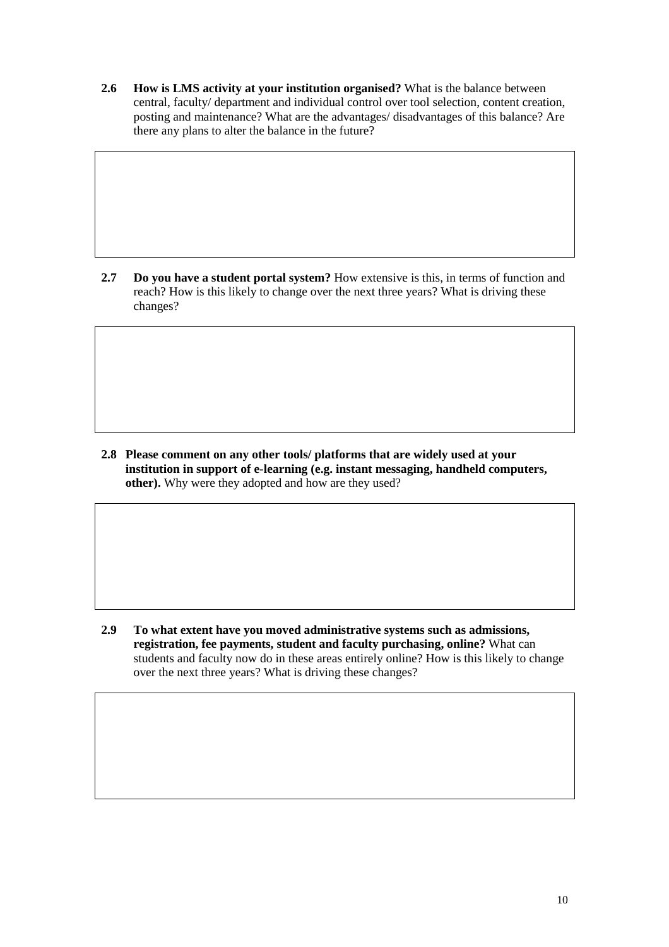**2.6 How is LMS activity at your institution organised?** What is the balance between central, faculty/ department and individual control over tool selection, content creation, posting and maintenance? What are the advantages/ disadvantages of this balance? Are there any plans to alter the balance in the future?

**2.7 Do you have a student portal system?** How extensive is this, in terms of function and reach? How is this likely to change over the next three years? What is driving these changes?

**2.8 Please comment on any other tools/ platforms that are widely used at your institution in support of e-learning (e.g. instant messaging, handheld computers, other).** Why were they adopted and how are they used?

**2.9 To what extent have you moved administrative systems such as admissions, registration, fee payments, student and faculty purchasing, online?** What can students and faculty now do in these areas entirely online? How is this likely to change over the next three years? What is driving these changes?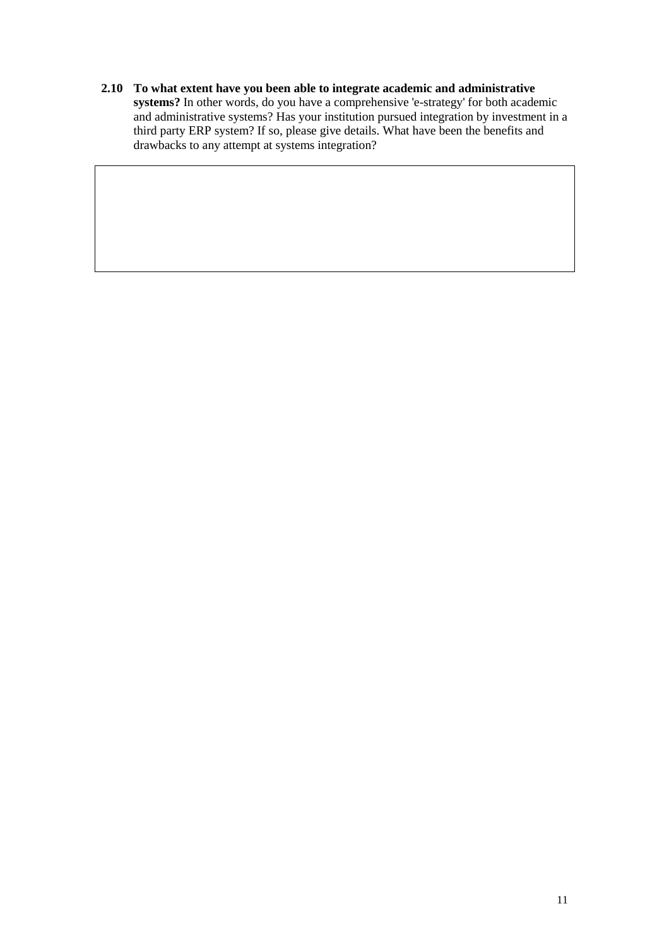**2.10 To what extent have you been able to integrate academic and administrative systems?** In other words, do you have a comprehensive 'e-strategy' for both academic and administrative systems? Has your institution pursued integration by investment in a third party ERP system? If so, please give details. What have been the benefits and drawbacks to any attempt at systems integration?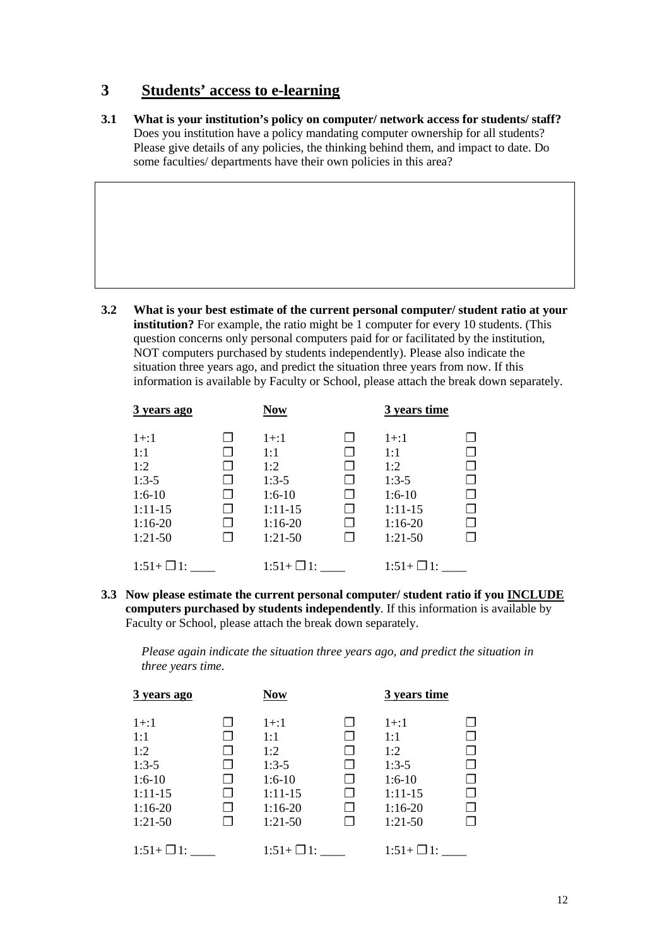### **3 Students' access to e-learning**

**3.1 What is your institution's policy on computer/ network access for students/ staff?**  Does you institution have a policy mandating computer ownership for all students? Please give details of any policies, the thinking behind them, and impact to date. Do some faculties/ departments have their own policies in this area?

**3.2 What is your best estimate of the current personal computer/ student ratio at your institution?** For example, the ratio might be 1 computer for every 10 students. (This question concerns only personal computers paid for or facilitated by the institution, NOT computers purchased by students independently). Please also indicate the situation three years ago, and predict the situation three years from now. If this information is available by Faculty or School, please attach the break down separately.

| 3 years ago    |   | Now               |   | 3 years time   |   |
|----------------|---|-------------------|---|----------------|---|
| $1 + 1$        |   | $1 + 1$           |   | $1 + 1$        | □ |
| 1:1            |   | 1:1               |   | 1:1            | ⊓ |
| 1:2            |   | 1:2               |   | 1:2            | ⊓ |
| $1:3-5$        | □ | $1:3-5$           | □ | $1:3-5$        | ⊓ |
| $1:6-10$       |   | $1:6-10$          | ⊓ | $1:6-10$       | ⊓ |
| $1:11-15$      | □ | $1:11-15$         | □ | $1:11-15$      | ⊓ |
| $1:16-20$      |   | $1:16-20$         | □ | $1:16-20$      | ⊓ |
| $1:21-50$      | □ | $1:21-50$         | □ | $1:21-50$      | ⊓ |
| $1:51+\Box 1:$ |   | $1:51 + \Box 1$ : |   | $1:51+\Box$ 1: |   |

**3.3 Now please estimate the current personal computer/ student ratio if you INCLUDE computers purchased by students independently**. If this information is available by Faculty or School, please attach the break down separately.

*Please again indicate the situation three years ago, and predict the situation in three years time.* 

| 3 years ago                        |   | Now       |                  | 3 years time |   |
|------------------------------------|---|-----------|------------------|--------------|---|
| $1 + 1$                            |   | $1 + 1$   | ┓                | $1 + 1$      | □ |
| 1:1                                | ┒ | 1:1       | ┓                | 1:1          | ┒ |
| 1:2                                |   | 1:2       | ┒                | 1:2          | ⊓ |
| $1:3-5$                            | □ | $1:3-5$   | ⊓                | $1:3-5$      | ⊓ |
| $1:6-10$                           | □ | $1:6-10$  | ⊓                | $1:6-10$     | ⊓ |
| $1:11-15$                          | ⊓ | $1:11-15$ | ⊓                | $1:11-15$    | ⊓ |
| $1:16-20$                          | □ | $1:16-20$ | ⊓                | $1:16-20$    | ⊓ |
| $1:21-50$                          |   | $1:21-50$ | □                | $1:21-50$    | □ |
| $1:51 + \Box$ 1:<br>$1:51+\Box 1:$ |   |           | $1:51 + \Box$ 1: |              |   |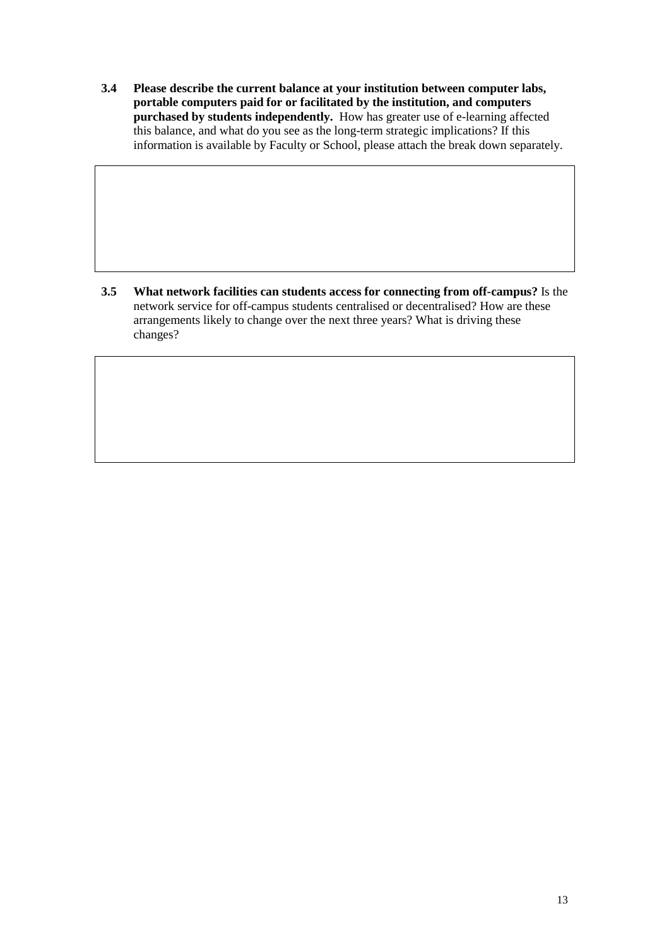**3.4 Please describe the current balance at your institution between computer labs, portable computers paid for or facilitated by the institution, and computers purchased by students independently.** How has greater use of e-learning affected this balance, and what do you see as the long-term strategic implications? If this information is available by Faculty or School, please attach the break down separately.

**3.5 What network facilities can students access for connecting from off-campus?** Is the network service for off-campus students centralised or decentralised? How are these arrangements likely to change over the next three years? What is driving these changes?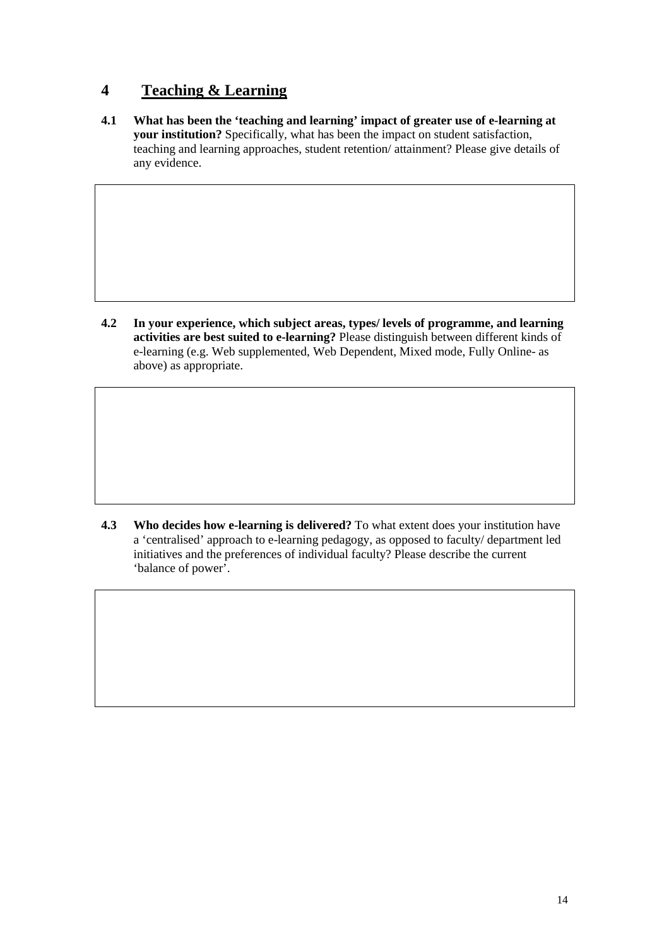# **4 Teaching & Learning**

**4.1 What has been the 'teaching and learning' impact of greater use of e-learning at your institution?** Specifically, what has been the impact on student satisfaction, teaching and learning approaches, student retention/ attainment? Please give details of any evidence.

**4.2 In your experience, which subject areas, types/ levels of programme, and learning activities are best suited to e-learning?** Please distinguish between different kinds of e-learning (e.g. Web supplemented, Web Dependent, Mixed mode, Fully Online- as above) as appropriate.

**4.3 Who decides how e-learning is delivered?** To what extent does your institution have a 'centralised' approach to e-learning pedagogy, as opposed to faculty/ department led initiatives and the preferences of individual faculty? Please describe the current 'balance of power'.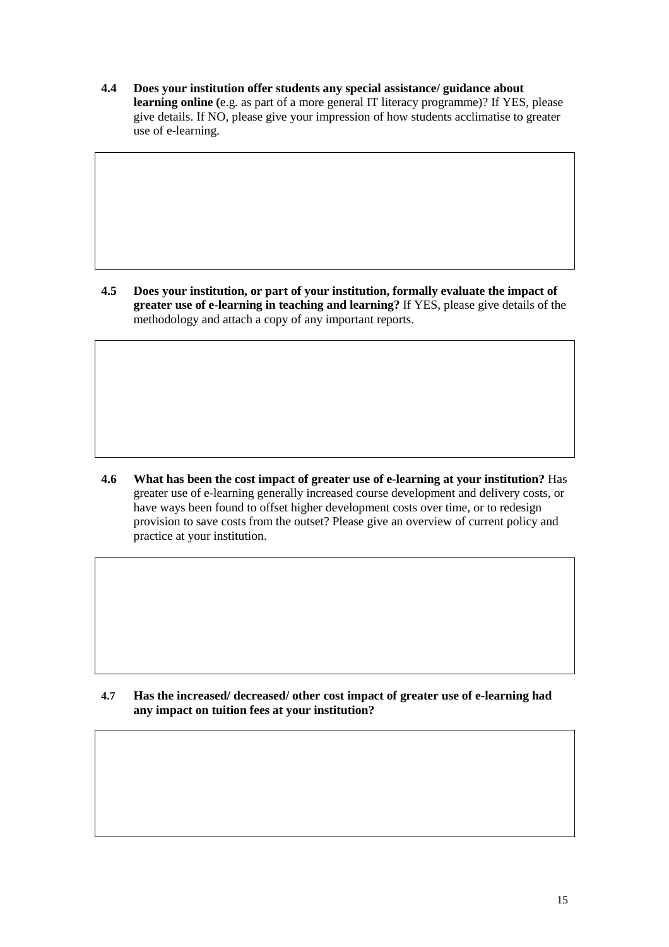**4.4 Does your institution offer students any special assistance/ guidance about learning online (**e.g. as part of a more general IT literacy programme)? If YES, please give details. If NO, please give your impression of how students acclimatise to greater use of e-learning.

**4.5 Does your institution, or part of your institution, formally evaluate the impact of greater use of e-learning in teaching and learning?** If YES, please give details of the methodology and attach a copy of any important reports.

**4.6 What has been the cost impact of greater use of e-learning at your institution?** Has greater use of e-learning generally increased course development and delivery costs, or have ways been found to offset higher development costs over time, or to redesign provision to save costs from the outset? Please give an overview of current policy and practice at your institution.

**4.7 Has the increased/ decreased/ other cost impact of greater use of e-learning had any impact on tuition fees at your institution?**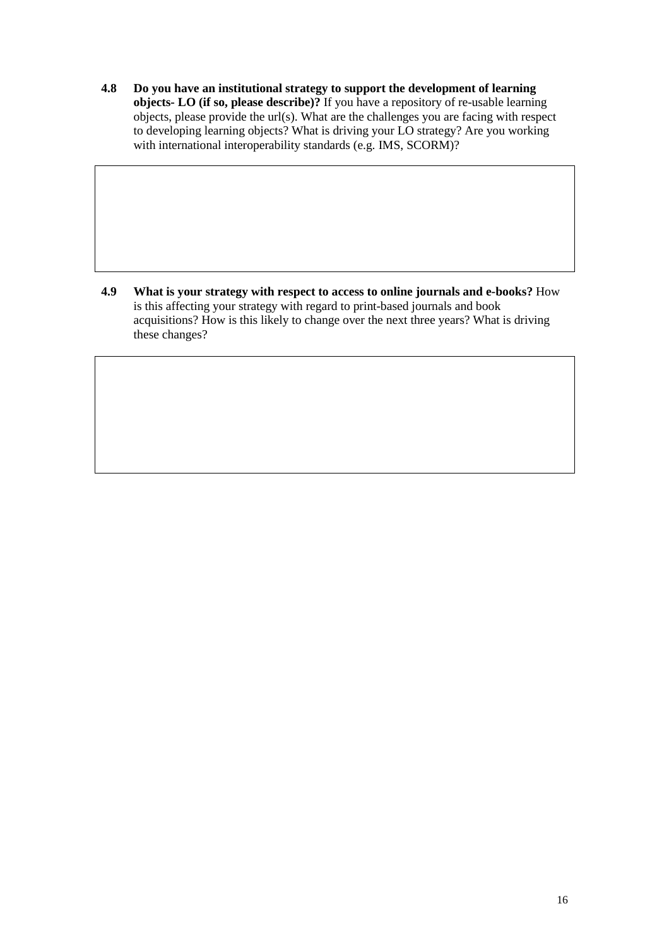**4.8 Do you have an institutional strategy to support the development of learning objects- LO (if so, please describe)?** If you have a repository of re-usable learning objects, please provide the url(s). What are the challenges you are facing with respect to developing learning objects? What is driving your LO strategy? Are you working with international interoperability standards (e.g. IMS, SCORM)?

**4.9 What is your strategy with respect to access to online journals and e-books?** How is this affecting your strategy with regard to print-based journals and book acquisitions? How is this likely to change over the next three years? What is driving these changes?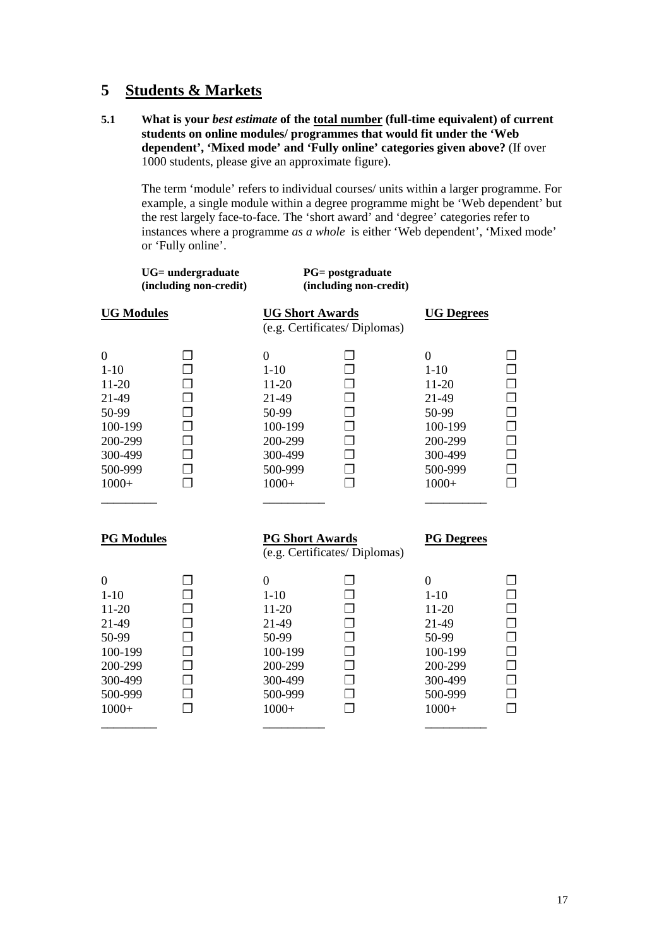### **5 Students & Markets**

**5.1 What is your** *best estimate* **of the total number (full-time equivalent) of current students on online modules/ programmes that would fit under the 'Web dependent', 'Mixed mode' and 'Fully online' categories given above?** (If over 1000 students, please give an approximate figure).

The term 'module' refers to individual courses/ units within a larger programme. For example, a single module within a degree programme might be 'Web dependent' but the rest largely face-to-face. The 'short award' and 'degree' categories refer to instances where a programme *as a whole* is either 'Web dependent', 'Mixed mode' or 'Fully online'.

|                                                                                                                  | <b>UG=</b> undergraduate<br>(including non-credit)  |                                                                                                              | <b>PG=</b> postgraduate<br>(including non-credit) |                                                                                                                  |                                                                                   |
|------------------------------------------------------------------------------------------------------------------|-----------------------------------------------------|--------------------------------------------------------------------------------------------------------------|---------------------------------------------------|------------------------------------------------------------------------------------------------------------------|-----------------------------------------------------------------------------------|
| <b>UG Modules</b>                                                                                                |                                                     | <b>UG Short Awards</b><br>(e.g. Certificates/Diplomas)                                                       |                                                   | <b>UG Degrees</b>                                                                                                |                                                                                   |
| $\overline{0}$<br>$1 - 10$<br>$11 - 20$<br>21-49<br>50-99<br>100-199<br>200-299<br>300-499<br>500-999<br>$1000+$ | ⊓<br>⊓<br>⊓<br>◘<br>⊓<br>$\Box$<br>⊓<br>◘<br>⊓<br>⊓ | $\overline{0}$<br>$1 - 10$<br>11-20<br>21-49<br>50-99<br>100-199<br>200-299<br>300-499<br>500-999<br>$1000+$ | ┑<br>⊓<br>⊓<br>Π<br>⊓<br>⊓<br>◘<br>⊓              | $\overline{0}$<br>$1 - 10$<br>$11 - 20$<br>21-49<br>50-99<br>100-199<br>200-299<br>300-499<br>500-999<br>$1000+$ | ⊓<br>$\Box$<br>◘<br>$\Box$<br>$\Box$<br>$\Box$<br>$\Box$<br>$\Box$<br>$\Box$<br>⊓ |
| <b>PG Modules</b>                                                                                                |                                                     | <b>PG Short Awards</b>                                                                                       | (e.g. Certificates/Diplomas)                      | <b>PG Degrees</b>                                                                                                |                                                                                   |
| $\overline{0}$<br>$1 - 10$<br>$11 - 20$<br>21-49<br>50-99<br>100-199<br>200-299<br>300-499<br>500-999<br>$1000+$ | ┑<br>⊓<br>⊓<br>◘<br>$\Box$<br>⊓<br>◘<br>⊓<br>◘<br>⊓ | $\overline{0}$<br>$1 - 10$<br>11-20<br>21-49<br>50-99<br>100-199<br>200-299<br>300-499<br>500-999<br>$1000+$ | ┑<br>┐<br>⊓<br>⊓<br>⊓<br>⊓<br>⊓<br>◘<br>⊓         | $\overline{0}$<br>$1 - 10$<br>$11 - 20$<br>21-49<br>50-99<br>100-199<br>200-299<br>300-499<br>500-999<br>$1000+$ | ⊓<br>⊓<br>$\Box$<br>◘<br>$\Box$<br>$\Box$<br>$\Box$<br>$\Box$<br>$\Box$<br>$\Box$ |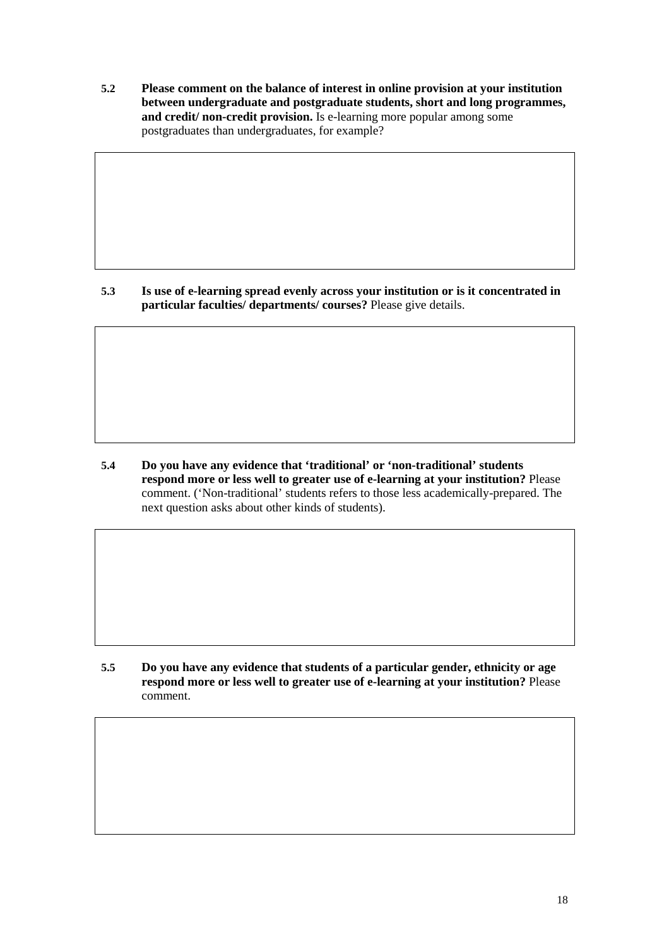**5.2 Please comment on the balance of interest in online provision at your institution between undergraduate and postgraduate students, short and long programmes, and credit/ non-credit provision.** Is e-learning more popular among some postgraduates than undergraduates, for example?

**5.3 Is use of e-learning spread evenly across your institution or is it concentrated in particular faculties/ departments/ courses?** Please give details.

**5.4 Do you have any evidence that 'traditional' or 'non-traditional' students respond more or less well to greater use of e-learning at your institution?** Please comment. ('Non-traditional' students refers to those less academically-prepared. The next question asks about other kinds of students).

**5.5 Do you have any evidence that students of a particular gender, ethnicity or age respond more or less well to greater use of e-learning at your institution?** Please comment.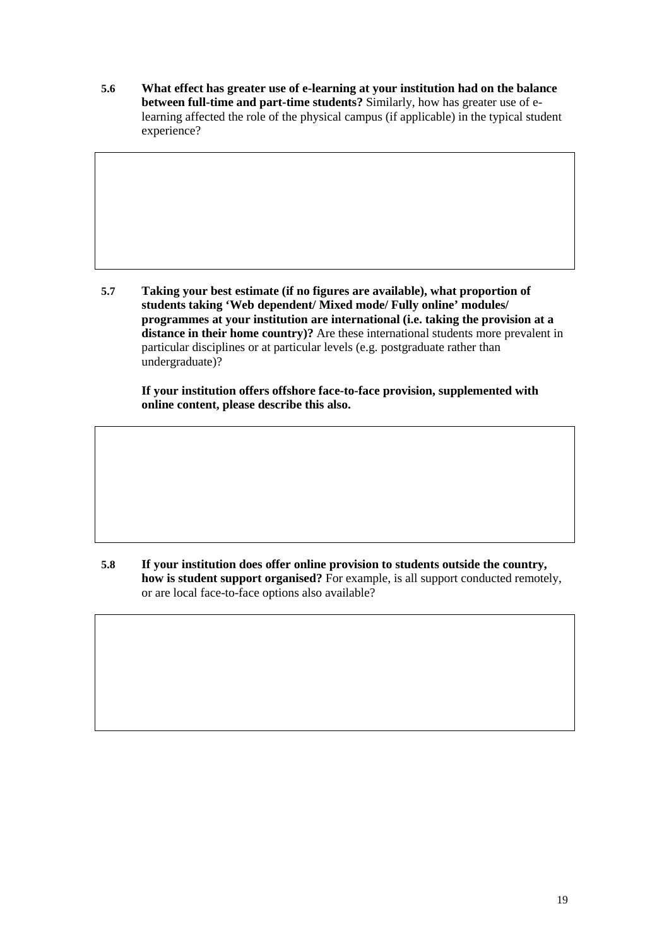**5.6 What effect has greater use of e-learning at your institution had on the balance between full-time and part-time students?** Similarly, how has greater use of elearning affected the role of the physical campus (if applicable) in the typical student experience?

**5.7 Taking your best estimate (if no figures are available), what proportion of students taking 'Web dependent/ Mixed mode/ Fully online' modules/ programmes at your institution are international (i.e. taking the provision at a distance in their home country)?** Are these international students more prevalent in particular disciplines or at particular levels (e.g. postgraduate rather than undergraduate)?

**If your institution offers offshore face-to-face provision, supplemented with online content, please describe this also.** 

**5.8 If your institution does offer online provision to students outside the country, how is student support organised?** For example, is all support conducted remotely, or are local face-to-face options also available?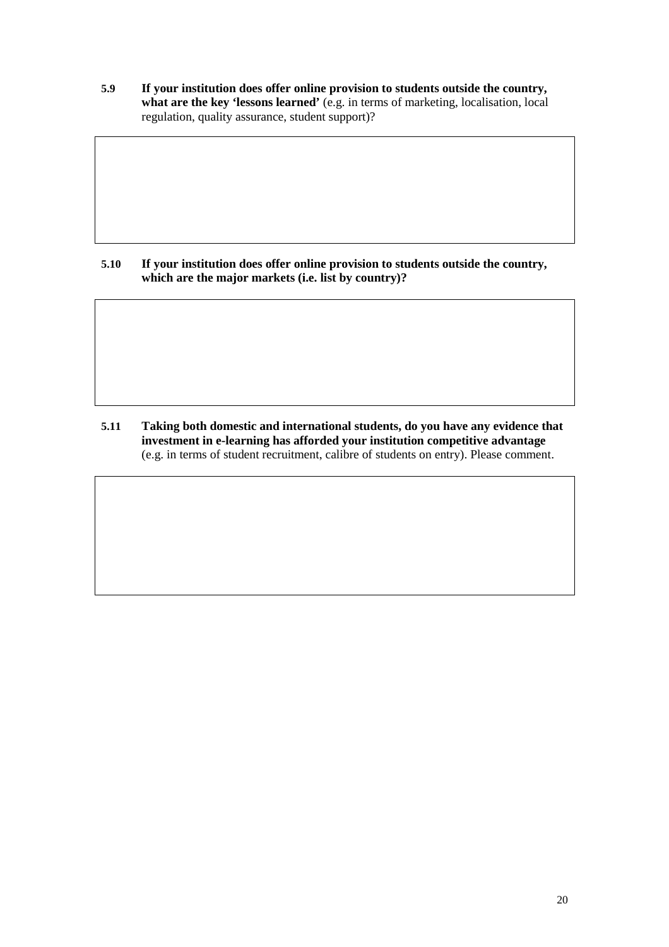**5.9 If your institution does offer online provision to students outside the country,**  what are the key 'lessons learned' (e.g. in terms of marketing, localisation, local regulation, quality assurance, student support)?

**5.10 If your institution does offer online provision to students outside the country, which are the major markets (i.e. list by country)?** 

**5.11 Taking both domestic and international students, do you have any evidence that investment in e-learning has afforded your institution competitive advantage**  (e.g. in terms of student recruitment, calibre of students on entry). Please comment.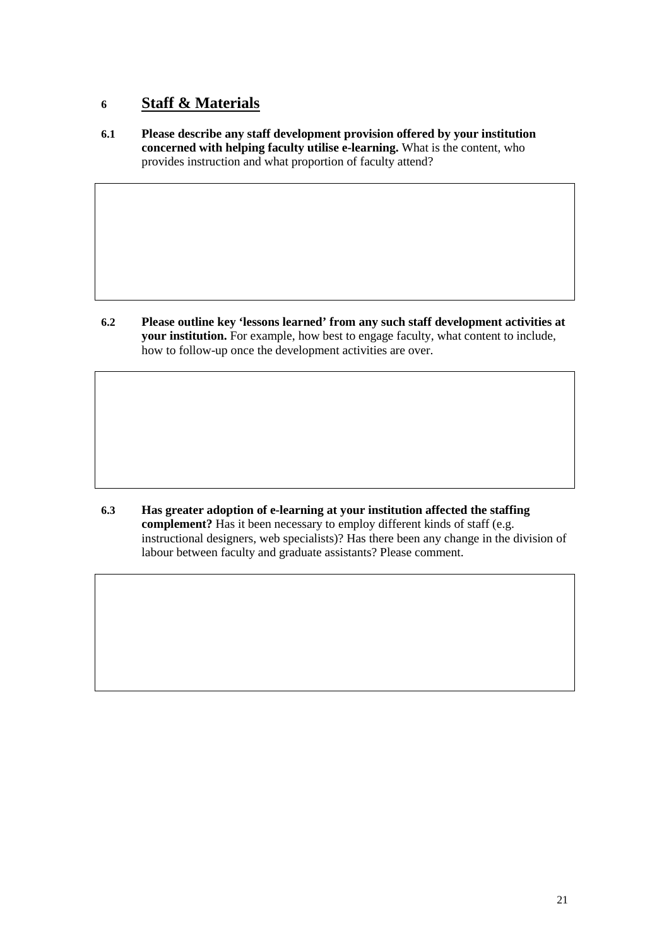## **6 Staff & Materials**

**6.1 Please describe any staff development provision offered by your institution concerned with helping faculty utilise e-learning.** What is the content, who provides instruction and what proportion of faculty attend?

**6.2 Please outline key 'lessons learned' from any such staff development activities at your institution.** For example, how best to engage faculty, what content to include, how to follow-up once the development activities are over.

**6.3 Has greater adoption of e-learning at your institution affected the staffing complement?** Has it been necessary to employ different kinds of staff (e.g. instructional designers, web specialists)? Has there been any change in the division of labour between faculty and graduate assistants? Please comment.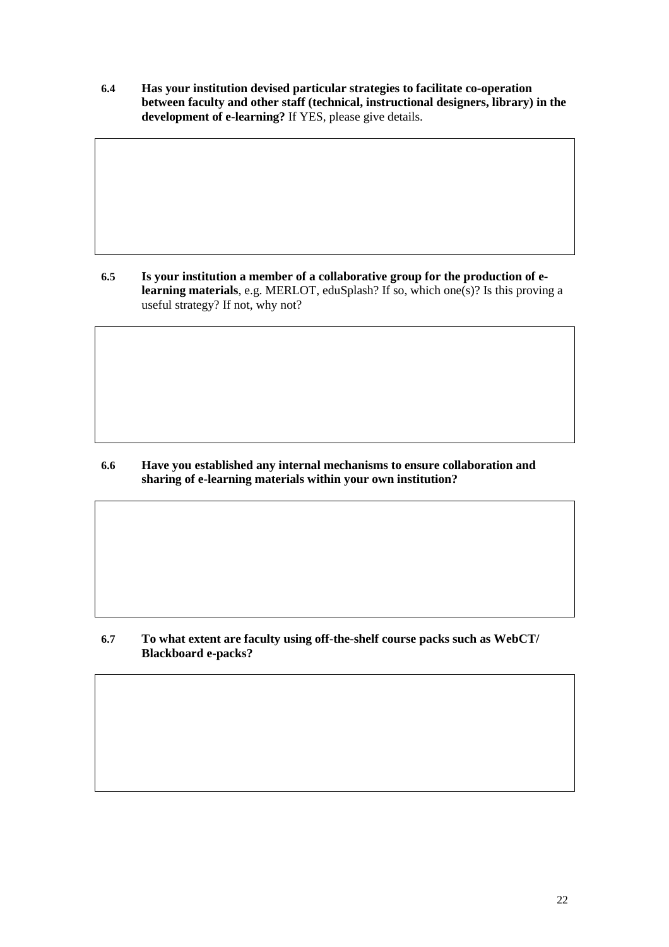**6.4 Has your institution devised particular strategies to facilitate co-operation between faculty and other staff (technical, instructional designers, library) in the development of e-learning?** If YES, please give details.

**6.5 Is your institution a member of a collaborative group for the production of elearning materials**, e.g. MERLOT, eduSplash? If so, which one(s)? Is this proving a useful strategy? If not, why not?

**6.6 Have you established any internal mechanisms to ensure collaboration and sharing of e-learning materials within your own institution?** 

**6.7 To what extent are faculty using off-the-shelf course packs such as WebCT/ Blackboard e-packs?**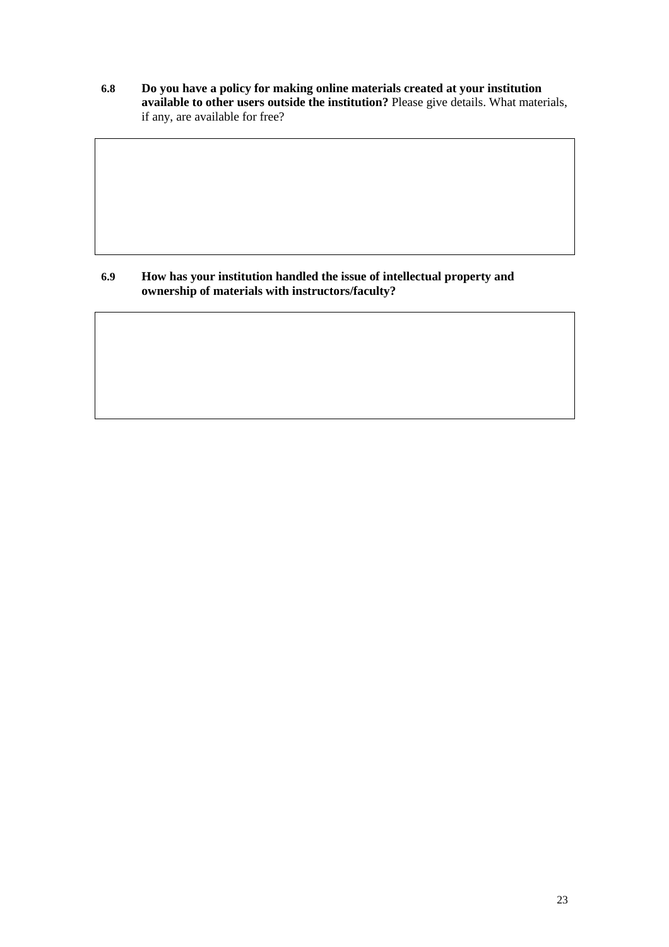**6.8 Do you have a policy for making online materials created at your institution available to other users outside the institution?** Please give details. What materials, if any, are available for free?

#### **6.9 How has your institution handled the issue of intellectual property and ownership of materials with instructors/faculty?**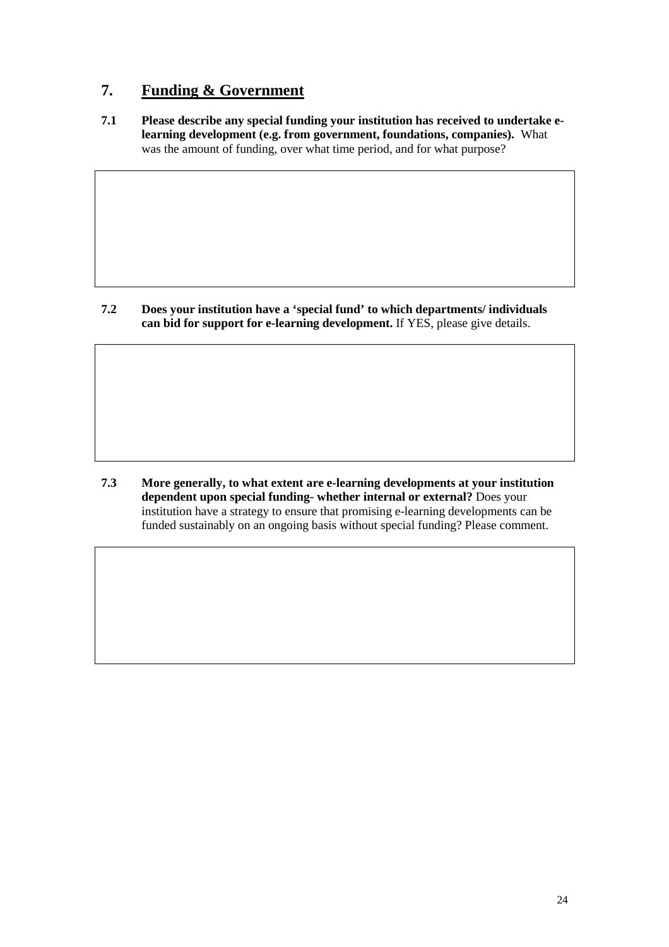# **7. Funding & Government**

**7.1 Please describe any special funding your institution has received to undertake elearning development (e.g. from government, foundations, companies).** What was the amount of funding, over what time period, and for what purpose?

**7.2 Does your institution have a 'special fund' to which departments/ individuals can bid for support for e-learning development.** If YES, please give details.

**7.3 More generally, to what extent are e-learning developments at your institution dependent upon special funding- whether internal or external?** Does your institution have a strategy to ensure that promising e-learning developments can be funded sustainably on an ongoing basis without special funding? Please comment.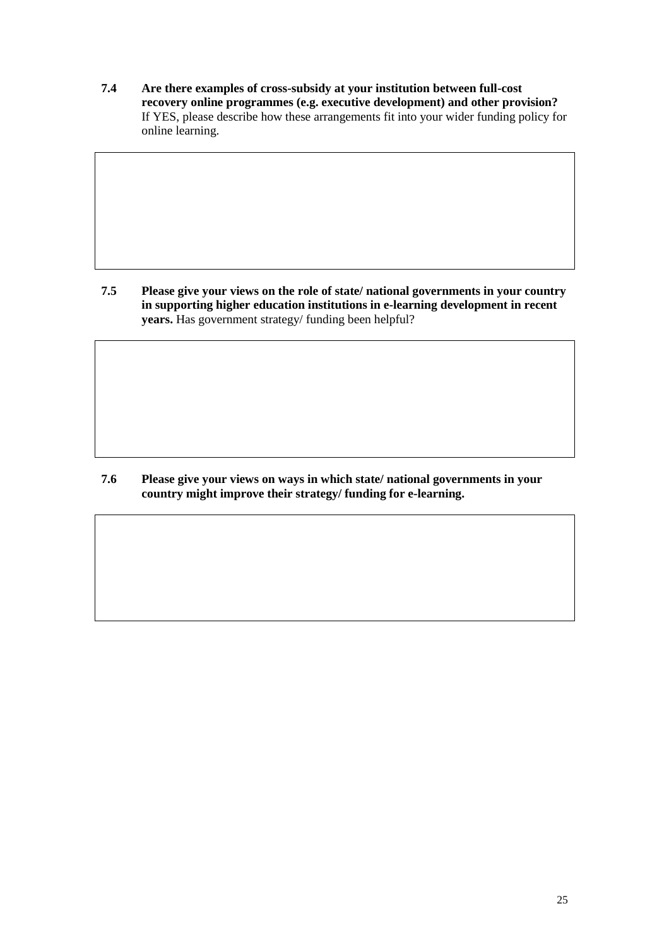**7.4 Are there examples of cross-subsidy at your institution between full-cost recovery online programmes (e.g. executive development) and other provision?**  If YES, please describe how these arrangements fit into your wider funding policy for online learning.

**7.5 Please give your views on the role of state/ national governments in your country in supporting higher education institutions in e-learning development in recent years.** Has government strategy/ funding been helpful?

**7.6 Please give your views on ways in which state/ national governments in your country might improve their strategy/ funding for e-learning.**